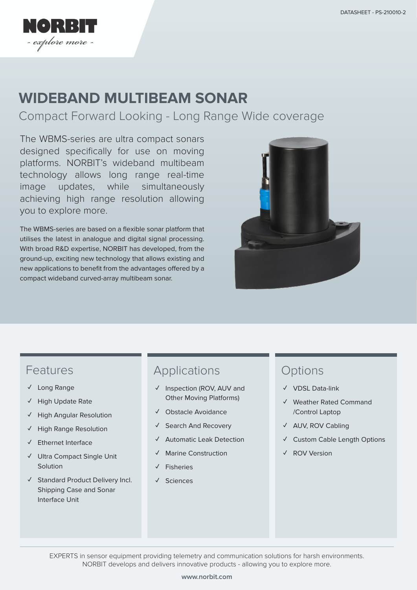

# **WIDEBAND MULTIBEAM SONAR**

Compact Forward Looking - Long Range Wide coverage

The WBMS-series are ultra compact sonars designed specifically for use on moving platforms. NORBIT's wideband multibeam technology allows long range real-time image updates, while simultaneously achieving high range resolution allowing you to explore more.

The WBMS-series are based on a flexible sonar platform that utilises the latest in analogue and digital signal processing. With broad R&D expertise, NORBIT has developed, from the ground-up, exciting new technology that allows existing and new applications to benefit from the advantages offered by a compact wideband curved-array multibeam sonar.



#### Features

- **✓** Long Range
- **✓** High Update Rate
- **✓** High Angular Resolution
- **✓** High Range Resolution
- **✓** Ethernet Interface
- **✓** Ultra Compact Single Unit **Solution**
- **✓** Standard Product Delivery Incl. Shipping Case and Sonar Interface Unit

#### Applications

- **✓** Inspection (ROV, AUV and Other Moving Platforms)
- **✓** Obstacle Avoidance
- **✓** Search And Recovery
- **✓** Automatic Leak Detection
- **✓** Marine Construction
- **✓** Fisheries
- **✓** Sciences

### **Options**

- **✓** VDSL Data-link
- **✓** Weather Rated Command /Control Laptop
- **✓** AUV, ROV Cabling
- **✓** Custom Cable Length Options
- **✓** ROV Version

EXPERTS in sensor equipment providing telemetry and communication solutions for harsh environments. NORBIT develops and delivers innovative products - allowing you to explore more.